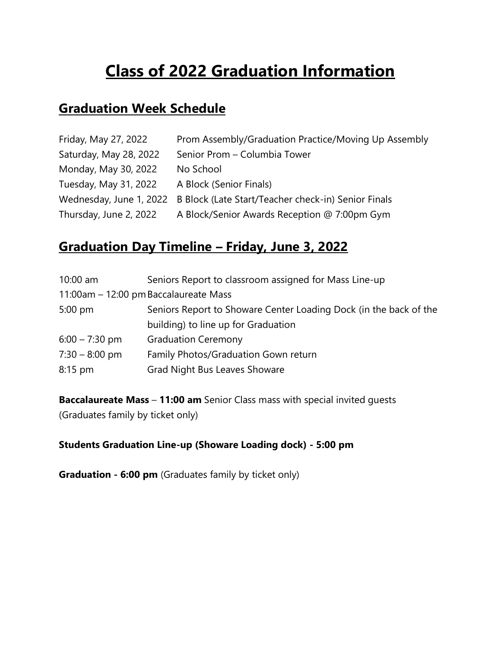# **Class of 2022 Graduation Information**

# **Graduation Week Schedule**

| Friday, May 27, 2022    | Prom Assembly/Graduation Practice/Moving Up Assembly |
|-------------------------|------------------------------------------------------|
| Saturday, May 28, 2022  | Senior Prom - Columbia Tower                         |
| Monday, May 30, 2022    | No School                                            |
| Tuesday, May 31, 2022   | A Block (Senior Finals)                              |
| Wednesday, June 1, 2022 | B Block (Late Start/Teacher check-in) Senior Finals  |
| Thursday, June 2, 2022  | A Block/Senior Awards Reception @ 7:00pm Gym         |

# **Graduation Day Timeline – Friday, June 3, 2022**

| $10:00$ am                            | Seniors Report to classroom assigned for Mass Line-up             |
|---------------------------------------|-------------------------------------------------------------------|
| 11:00am - 12:00 pm Baccalaureate Mass |                                                                   |
| $5:00$ pm                             | Seniors Report to Showare Center Loading Dock (in the back of the |
|                                       | building) to line up for Graduation                               |
| $6:00 - 7:30$ pm                      | <b>Graduation Ceremony</b>                                        |
| $7:30 - 8:00$ pm                      | Family Photos/Graduation Gown return                              |
| $8:15$ pm                             | <b>Grad Night Bus Leaves Showare</b>                              |

**Baccalaureate Mass** – **11:00 am** Senior Class mass with special invited guests (Graduates family by ticket only)

#### **Students Graduation Line-up (Showare Loading dock) - 5:00 pm**

**Graduation - 6:00 pm** (Graduates family by ticket only)